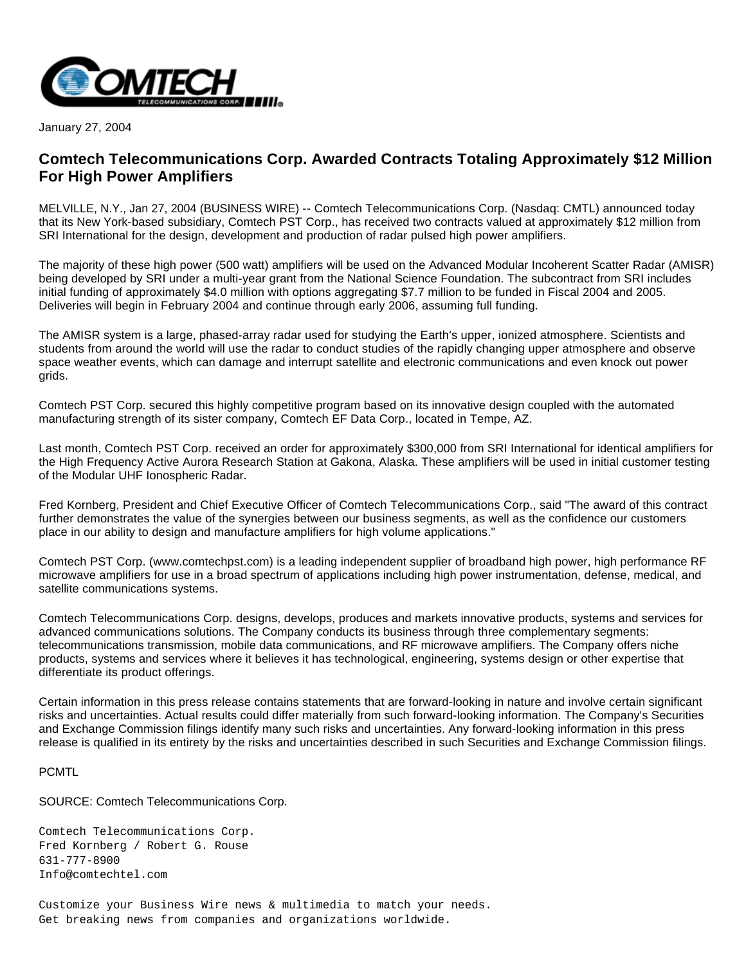

January 27, 2004

## **Comtech Telecommunications Corp. Awarded Contracts Totaling Approximately \$12 Million For High Power Amplifiers**

MELVILLE, N.Y., Jan 27, 2004 (BUSINESS WIRE) -- Comtech Telecommunications Corp. (Nasdaq: CMTL) announced today that its New York-based subsidiary, Comtech PST Corp., has received two contracts valued at approximately \$12 million from SRI International for the design, development and production of radar pulsed high power amplifiers.

The majority of these high power (500 watt) amplifiers will be used on the Advanced Modular Incoherent Scatter Radar (AMISR) being developed by SRI under a multi-year grant from the National Science Foundation. The subcontract from SRI includes initial funding of approximately \$4.0 million with options aggregating \$7.7 million to be funded in Fiscal 2004 and 2005. Deliveries will begin in February 2004 and continue through early 2006, assuming full funding.

The AMISR system is a large, phased-array radar used for studying the Earth's upper, ionized atmosphere. Scientists and students from around the world will use the radar to conduct studies of the rapidly changing upper atmosphere and observe space weather events, which can damage and interrupt satellite and electronic communications and even knock out power grids.

Comtech PST Corp. secured this highly competitive program based on its innovative design coupled with the automated manufacturing strength of its sister company, Comtech EF Data Corp., located in Tempe, AZ.

Last month, Comtech PST Corp. received an order for approximately \$300,000 from SRI International for identical amplifiers for the High Frequency Active Aurora Research Station at Gakona, Alaska. These amplifiers will be used in initial customer testing of the Modular UHF Ionospheric Radar.

Fred Kornberg, President and Chief Executive Officer of Comtech Telecommunications Corp., said "The award of this contract further demonstrates the value of the synergies between our business segments, as well as the confidence our customers place in our ability to design and manufacture amplifiers for high volume applications."

Comtech PST Corp. (www.comtechpst.com) is a leading independent supplier of broadband high power, high performance RF microwave amplifiers for use in a broad spectrum of applications including high power instrumentation, defense, medical, and satellite communications systems.

Comtech Telecommunications Corp. designs, develops, produces and markets innovative products, systems and services for advanced communications solutions. The Company conducts its business through three complementary segments: telecommunications transmission, mobile data communications, and RF microwave amplifiers. The Company offers niche products, systems and services where it believes it has technological, engineering, systems design or other expertise that differentiate its product offerings.

Certain information in this press release contains statements that are forward-looking in nature and involve certain significant risks and uncertainties. Actual results could differ materially from such forward-looking information. The Company's Securities and Exchange Commission filings identify many such risks and uncertainties. Any forward-looking information in this press release is qualified in its entirety by the risks and uncertainties described in such Securities and Exchange Commission filings.

## PCMTL

SOURCE: Comtech Telecommunications Corp.

Comtech Telecommunications Corp. Fred Kornberg / Robert G. Rouse 631-777-8900 Info@comtechtel.com

Customize your Business Wire news & multimedia to match your needs. Get breaking news from companies and organizations worldwide.